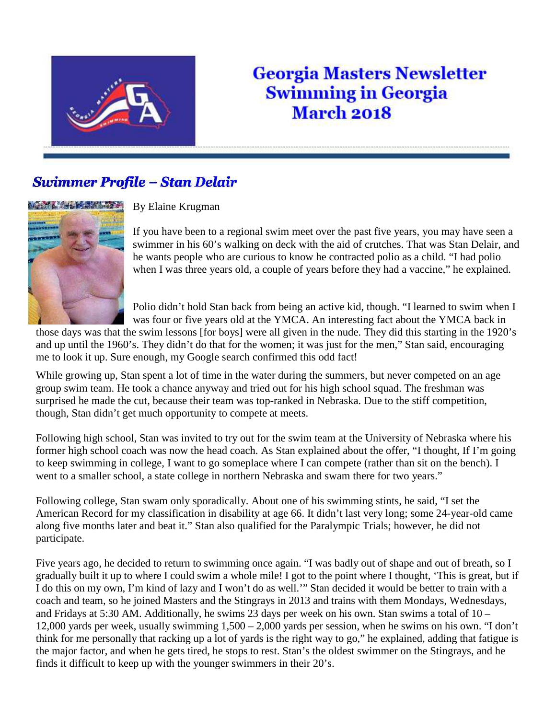

## **Georgia Masters Newsletter Swimming in Georgia March 2018**

## **Swimmer Profile - Stan Delair**



By Elaine Krugman

If you have been to a regional swim meet over the past five years, you may have seen a swimmer in his 60's walking on deck with the aid of crutches. That was Stan Delair, and he wants people who are curious to know he contracted polio as a child. "I had polio when I was three years old, a couple of years before they had a vaccine," he explained.

Polio didn't hold Stan back from being an active kid, though. "I learned to swim when I was four or five years old at the YMCA. An interesting fact about the YMCA back in

those days was that the swim lessons [for boys] were all given in the nude. They did this starting in the 1920's and up until the 1960's. They didn't do that for the women; it was just for the men," Stan said, encouraging me to look it up. Sure enough, my Google search confirmed this odd fact!

While growing up, Stan spent a lot of time in the water during the summers, but never competed on an age group swim team. He took a chance anyway and tried out for his high school squad. The freshman was surprised he made the cut, because their team was top-ranked in Nebraska. Due to the stiff competition, though, Stan didn't get much opportunity to compete at meets.

Following high school, Stan was invited to try out for the swim team at the University of Nebraska where his former high school coach was now the head coach. As Stan explained about the offer, "I thought, If I'm going to keep swimming in college, I want to go someplace where I can compete (rather than sit on the bench). I went to a smaller school, a state college in northern Nebraska and swam there for two years."

Following college, Stan swam only sporadically. About one of his swimming stints, he said, "I set the American Record for my classification in disability at age 66. It didn't last very long; some 24-year-old came along five months later and beat it." Stan also qualified for the Paralympic Trials; however, he did not participate.

Five years ago, he decided to return to swimming once again. "I was badly out of shape and out of breath, so I gradually built it up to where I could swim a whole mile! I got to the point where I thought, 'This is great, but if I do this on my own, I'm kind of lazy and I won't do as well.'" Stan decided it would be better to train with a coach and team, so he joined Masters and the Stingrays in 2013 and trains with them Mondays, Wednesdays, and Fridays at 5:30 AM. Additionally, he swims 23 days per week on his own. Stan swims a total of 10 – 12,000 yards per week, usually swimming 1,500 – 2,000 yards per session, when he swims on his own. "I don't think for me personally that racking up a lot of yards is the right way to go," he explained, adding that fatigue is the major factor, and when he gets tired, he stops to rest. Stan's the oldest swimmer on the Stingrays, and he finds it difficult to keep up with the younger swimmers in their 20's.